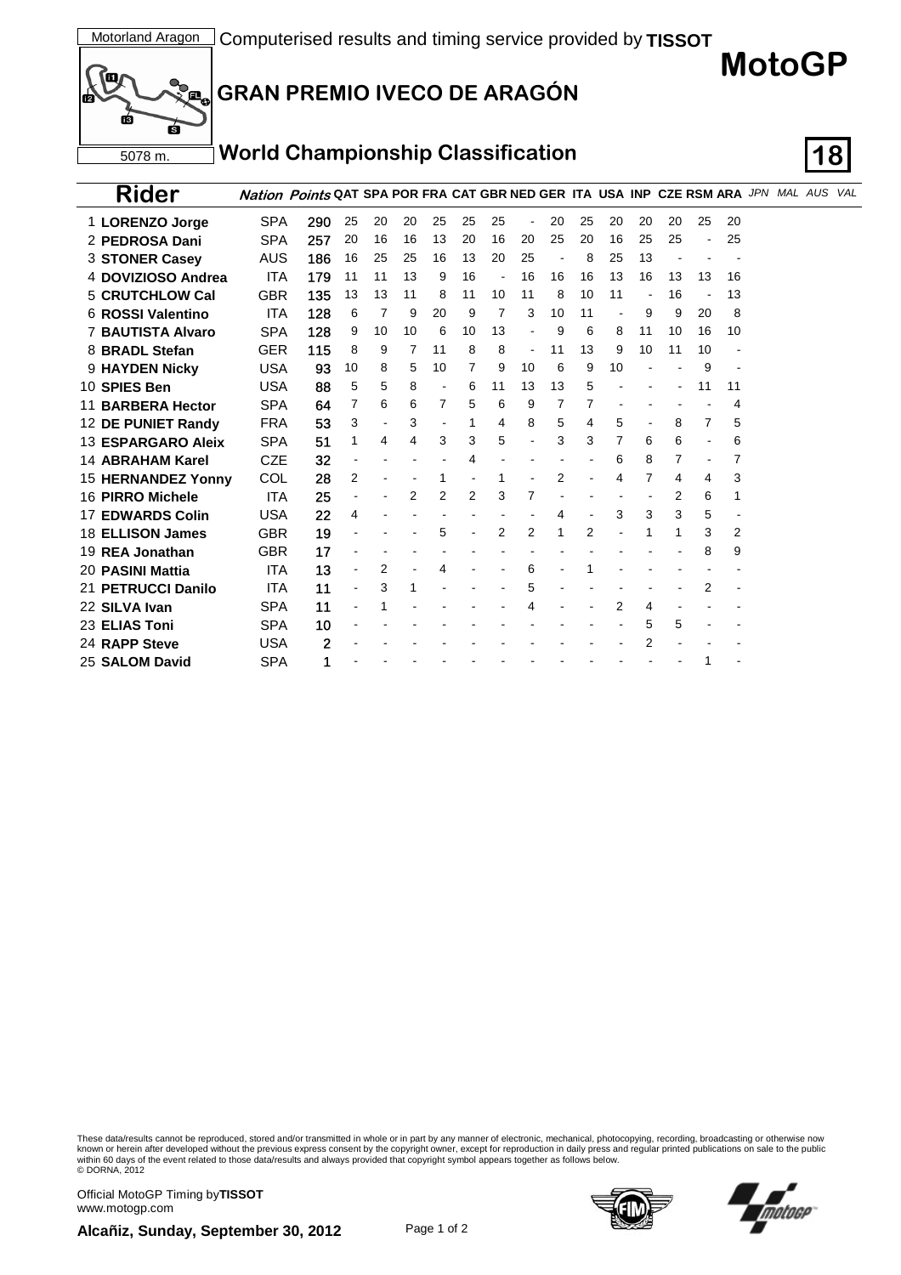



| <b>Rider</b>              | Nation Points QAT SPA POR FRA CAT GBR NED GER ITA USA INP CZE RSM ARA JPN MAL AUS VAL |     |                          |    |    |    |    |                          |    |    |    |    |    |    |    |    |  |  |
|---------------------------|---------------------------------------------------------------------------------------|-----|--------------------------|----|----|----|----|--------------------------|----|----|----|----|----|----|----|----|--|--|
| 1 LORENZO Jorge           | <b>SPA</b>                                                                            | 290 | 25                       | 20 | 20 | 25 | 25 | 25                       |    | 20 | 25 | 20 | 20 | 20 | 25 | 20 |  |  |
| 2 PEDROSA Dani            | <b>SPA</b>                                                                            | 257 | 20                       | 16 | 16 | 13 | 20 | 16                       | 20 | 25 | 20 | 16 | 25 | 25 |    | 25 |  |  |
| <b>3 STONER Casey</b>     | AUS                                                                                   | 186 | 16                       | 25 | 25 | 16 | 13 | 20                       | 25 |    | 8  | 25 | 13 |    |    |    |  |  |
| 4 DOVIZIOSO Andrea        | <b>ITA</b>                                                                            | 179 | 11                       | 11 | 13 | 9  | 16 | $\overline{\phantom{a}}$ | 16 | 16 | 16 | 13 | 16 | 13 | 13 | 16 |  |  |
| <b>5 CRUTCHLOW Cal</b>    | <b>GBR</b>                                                                            | 135 | 13                       | 13 | 11 | 8  | 11 | 10                       | 11 | 8  | 10 | 11 |    | 16 |    | 13 |  |  |
| 6 ROSSI Valentino         | <b>ITA</b>                                                                            | 128 | 6                        | 7  | 9  | 20 | 9  | 7                        | 3  | 10 | 11 |    | 9  | 9  | 20 | 8  |  |  |
| <b>7 BAUTISTA Alvaro</b>  | <b>SPA</b>                                                                            | 128 | 9                        | 10 | 10 | 6  | 10 | 13                       |    | 9  | 6  | 8  | 11 | 10 | 16 | 10 |  |  |
| 8 BRADL Stefan            | <b>GER</b>                                                                            | 115 | 8                        | 9  | 7  | 11 | 8  | 8                        |    | 11 | 13 | 9  | 10 | 11 | 10 |    |  |  |
| 9 HAYDEN Nicky            | <b>USA</b>                                                                            | 93  | 10                       | 8  | 5  | 10 | 7  | 9                        | 10 | 6  | 9  | 10 |    |    | 9  |    |  |  |
| 10 SPIES Ben              | <b>USA</b>                                                                            | 88  | 5                        | 5  | 8  |    | 6  | 11                       | 13 | 13 | 5  |    |    |    | 11 | 11 |  |  |
| 11 BARBERA Hector         | <b>SPA</b>                                                                            | 64  | 7                        | 6  | 6  | 7  | 5  | 6                        | 9  | 7  | 7  |    |    |    |    | 4  |  |  |
| 12 DE PUNIET Randy        | <b>FRA</b>                                                                            | 53  | 3                        |    | 3  |    | 1  | 4                        | 8  | 5  | 4  | 5  |    | 8  | 7  | 5  |  |  |
| 13 ESPARGARO Aleix        | <b>SPA</b>                                                                            | 51  | 1                        | 4  | 4  | 3  | 3  | 5                        |    | 3  | 3  | 7  | 6  | 6  |    | 6  |  |  |
| 14 ABRAHAM Karel          | <b>CZE</b>                                                                            | 32  |                          |    |    |    | 4  |                          |    |    |    | 6  | 8  | 7  |    | 7  |  |  |
| <b>15 HERNANDEZ Yonny</b> | COL                                                                                   | 28  | 2                        |    |    |    |    | 1                        |    | 2  |    | 4  | 7  | 4  | 4  | 3  |  |  |
| 16 PIRRO Michele          | <b>ITA</b>                                                                            | 25  |                          |    | 2  | 2  | 2  | 3                        | 7  |    |    |    |    | 2  | 6  | 1  |  |  |
| <b>17 EDWARDS Colin</b>   | <b>USA</b>                                                                            | 22  | 4                        |    |    |    |    |                          |    | 4  |    | 3  | 3  | 3  | 5  |    |  |  |
| 18 ELLISON James          | <b>GBR</b>                                                                            | 19  |                          |    |    | 5  |    | 2                        | 2  | 1  | 2  |    |    |    | 3  | 2  |  |  |
| 19 REA Jonathan           | GBR                                                                                   | 17  |                          |    |    |    |    |                          |    |    |    |    |    |    | 8  | 9  |  |  |
| 20 PASINI Mattia          | <b>ITA</b>                                                                            | 13  |                          | 2  |    |    |    |                          | 6  |    |    |    |    |    |    |    |  |  |
| 21 PETRUCCI Danilo        | <b>ITA</b>                                                                            | 11  | $\overline{\phantom{a}}$ | 3  |    |    |    |                          | 5  |    |    |    |    |    | 2  |    |  |  |
| 22 SILVA Ivan             | <b>SPA</b>                                                                            | 11  |                          |    |    |    |    |                          |    |    |    | 2  | 4  |    |    |    |  |  |
| 23 <b>ELIAS Toni</b>      | <b>SPA</b>                                                                            | 10  |                          |    |    |    |    |                          |    |    |    |    | 5  | 5  |    |    |  |  |
| 24 RAPP Steve             | <b>USA</b>                                                                            | 2   |                          |    |    |    |    |                          |    |    |    |    | 2  |    |    |    |  |  |
| 25 SALOM David            | <b>SPA</b>                                                                            | 1   |                          |    |    |    |    |                          |    |    |    |    |    |    | 1  |    |  |  |

These data/results cannot be reproduced, stored and/or transmitted in whole or in part by any manner of electronic, mechanical, photocopying, recording, broadcasting or otherwise now known or herein after developed without the previous express consent by the copyright owner, except for reproduction in daily press and regular printed publications on sale to the public<br>within 60 days of the event related

Official MotoGP Timing by **TISSOT**www.motogp.com





**MotoGP**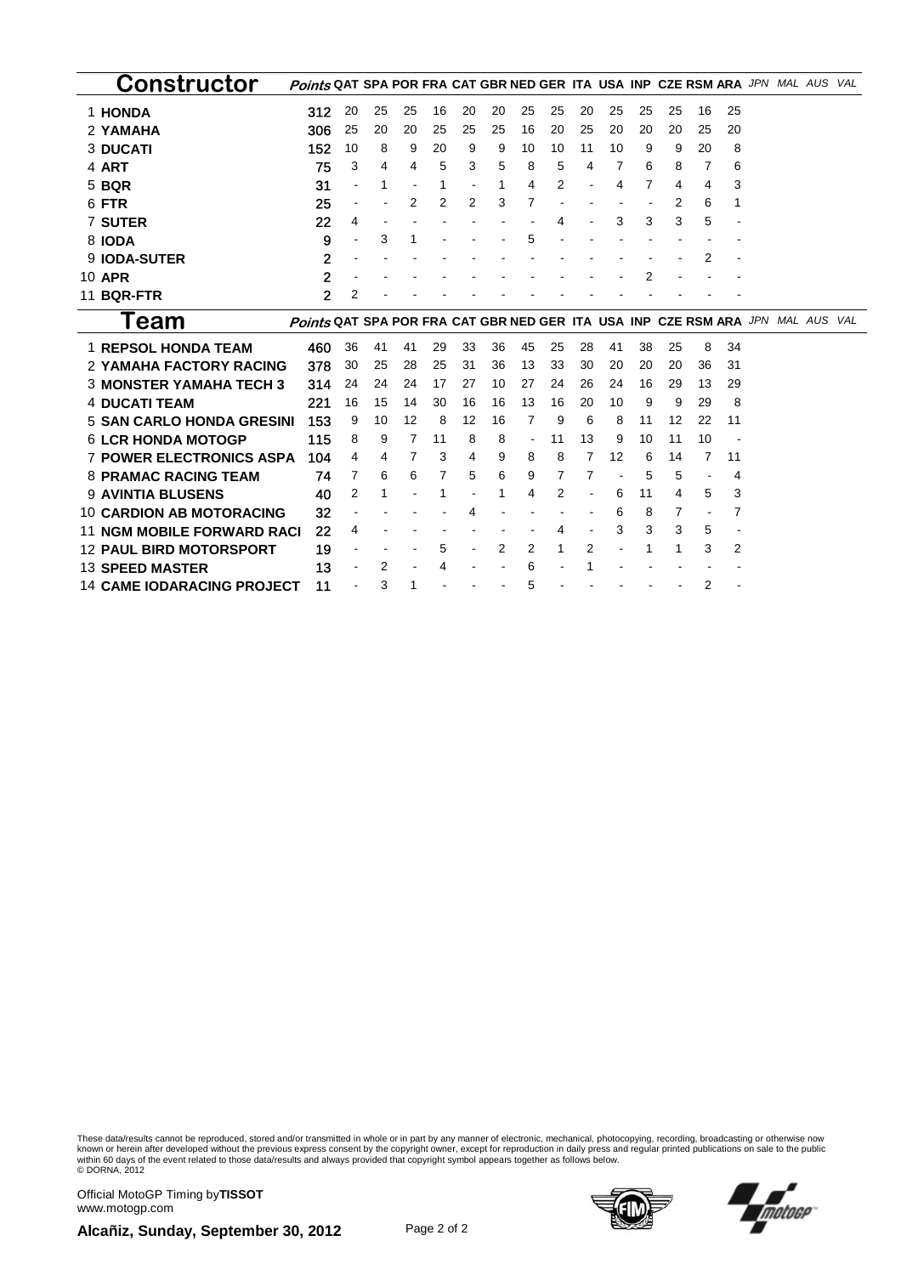| Constructor                       | Points QAT SPA POR FRA CAT GBR NED GER ITA USA INP CZE RSM ARA JPN MAL AUS     |                |    |    |    |    |    |                          |    |    |    |    |    |                          |    |  | VAL |
|-----------------------------------|--------------------------------------------------------------------------------|----------------|----|----|----|----|----|--------------------------|----|----|----|----|----|--------------------------|----|--|-----|
| 1 HONDA                           | 312                                                                            | 20             | 25 | 25 | 16 | 20 | 20 | 25                       | 25 | 20 | 25 | 25 | 25 | 16                       | 25 |  |     |
| 2 YAMAHA                          | 306                                                                            | 25             | 20 | 20 | 25 | 25 | 25 | 16                       | 20 | 25 | 20 | 20 | 20 | 25                       | 20 |  |     |
| <b>3 DUCATI</b>                   | 152                                                                            | 10             | 8  | 9  | 20 | 9  | 9  | 10                       | 10 | 11 | 10 | 9  | 9  | 20                       | 8  |  |     |
| 4 ART                             | 75                                                                             | 3              | 4  | 4  | 5  | 3  | 5  | 8                        | 5  | 4  | 7  | 6  | 8  | 7                        | 6  |  |     |
| 5 BQR                             | 31                                                                             | $\blacksquare$ | 1  |    | 1  |    | 1  | 4                        | 2  |    | 4  | 7  | 4  | 4                        | 3  |  |     |
| 6 FTR                             | 25                                                                             | $\blacksquare$ |    | 2  | 2  | 2  | 3  | 7                        |    |    |    |    | 2  | 6                        |    |  |     |
| <b>7 SUTER</b>                    | 22                                                                             | 4              |    |    |    |    |    |                          |    |    | 3  | 3  | 3  | 5                        |    |  |     |
| 8 IODA                            | 9                                                                              | $\sim$         | 3  |    |    |    |    | 5                        |    |    |    |    |    |                          |    |  |     |
| 9 IODA-SUTER                      | $\overline{2}$                                                                 |                |    |    |    |    |    |                          |    |    |    |    |    | 2                        |    |  |     |
| 10 APR                            | $\overline{2}$                                                                 |                |    |    |    |    |    |                          |    |    |    | 2  |    |                          |    |  |     |
| 11 BQR-FTR                        | $\overline{2}$                                                                 | 2              |    |    |    |    |    |                          |    |    |    |    |    |                          |    |  |     |
| Team                              | Points QAT SPA POR FRA CAT GBR NED GER ITA USA INP CZE RSM ARA JPN MAL AUS VAL |                |    |    |    |    |    |                          |    |    |    |    |    |                          |    |  |     |
|                                   |                                                                                |                |    |    |    |    |    |                          |    |    |    |    |    |                          |    |  |     |
| <b>1 REPSOL HONDA TEAM</b>        | 460                                                                            | 36             | 41 | 41 | 29 | 33 | 36 | 45                       | 25 | 28 | 41 | 38 | 25 | 8                        | 34 |  |     |
| <b>2 YAMAHA FACTORY RACING</b>    | 378                                                                            | 30             | 25 | 28 | 25 | 31 | 36 | 13                       | 33 | 30 | 20 | 20 | 20 | 36                       | 31 |  |     |
| <b>3 MONSTER YAMAHA TECH 3</b>    | 314                                                                            | 24             | 24 | 24 | 17 | 27 | 10 | 27                       | 24 | 26 | 24 | 16 | 29 | 13                       | 29 |  |     |
| <b>4 DUCATI TEAM</b>              | 221                                                                            | 16             | 15 | 14 | 30 | 16 | 16 | 13                       | 16 | 20 | 10 | 9  | 9  | 29                       | 8  |  |     |
| <b>5 SAN CARLO HONDA GRESINI</b>  | 153                                                                            | 9              | 10 | 12 | 8  | 12 | 16 | 7                        | 9  | 6  | 8  | 11 | 12 | 22                       | 11 |  |     |
| <b>6 LCR HONDA MOTOGP</b>         | 115                                                                            | 8              | 9  | 7  | 11 | 8  | 8  | $\overline{\phantom{a}}$ | 11 | 13 | 9  | 10 | 11 | 10                       |    |  |     |
| <b>7 POWER ELECTRONICS ASPA</b>   | 104                                                                            | 4              | 4  | 7  | 3  | 4  | 9  | 8                        | 8  | 7  | 12 | 6  | 14 | 7                        | 11 |  |     |
| <b>8 PRAMAC RACING TEAM</b>       | 74                                                                             | 7              | 6  | 6  | 7  | 5  | 6  | 9                        | 7  | 7  |    | 5  | 5  |                          | 4  |  |     |
| <b>9 AVINTIA BLUSENS</b>          | 40                                                                             | 2              |    |    |    |    | 1  | 4                        | 2  |    | 6  | 11 | 4  | 5                        | 3  |  |     |
| <b>10 CARDION AB MOTORACING</b>   | 32                                                                             |                |    |    |    | 4  |    |                          |    |    | 6  | 8  | 7  | $\overline{\phantom{a}}$ | 7  |  |     |
| <b>11 NGM MOBILE FORWARD RACI</b> | 22                                                                             | 4              |    |    |    |    |    |                          | 4  |    | 3  | 3  | 3  | 5                        |    |  |     |
| <b>12 PAUL BIRD MOTORSPORT</b>    | 19                                                                             |                |    |    | 5  |    | 2  | 2                        | 1  | 2  |    | 1  | 1  | 3                        | 2  |  |     |
| <b>13 SPEED MASTER</b>            | 13                                                                             |                | 2  |    |    |    |    | 6                        |    |    |    |    |    |                          |    |  |     |

These data/results cannot be reproduced, stored and/or transmitted in whole or in part by any manner of electronic, mechanical, photocopying, recording, broadcasting or otherwise now<br>within 60 days of the event related to

Official MotoGP Timing by **TISSOT**www.motogp.com





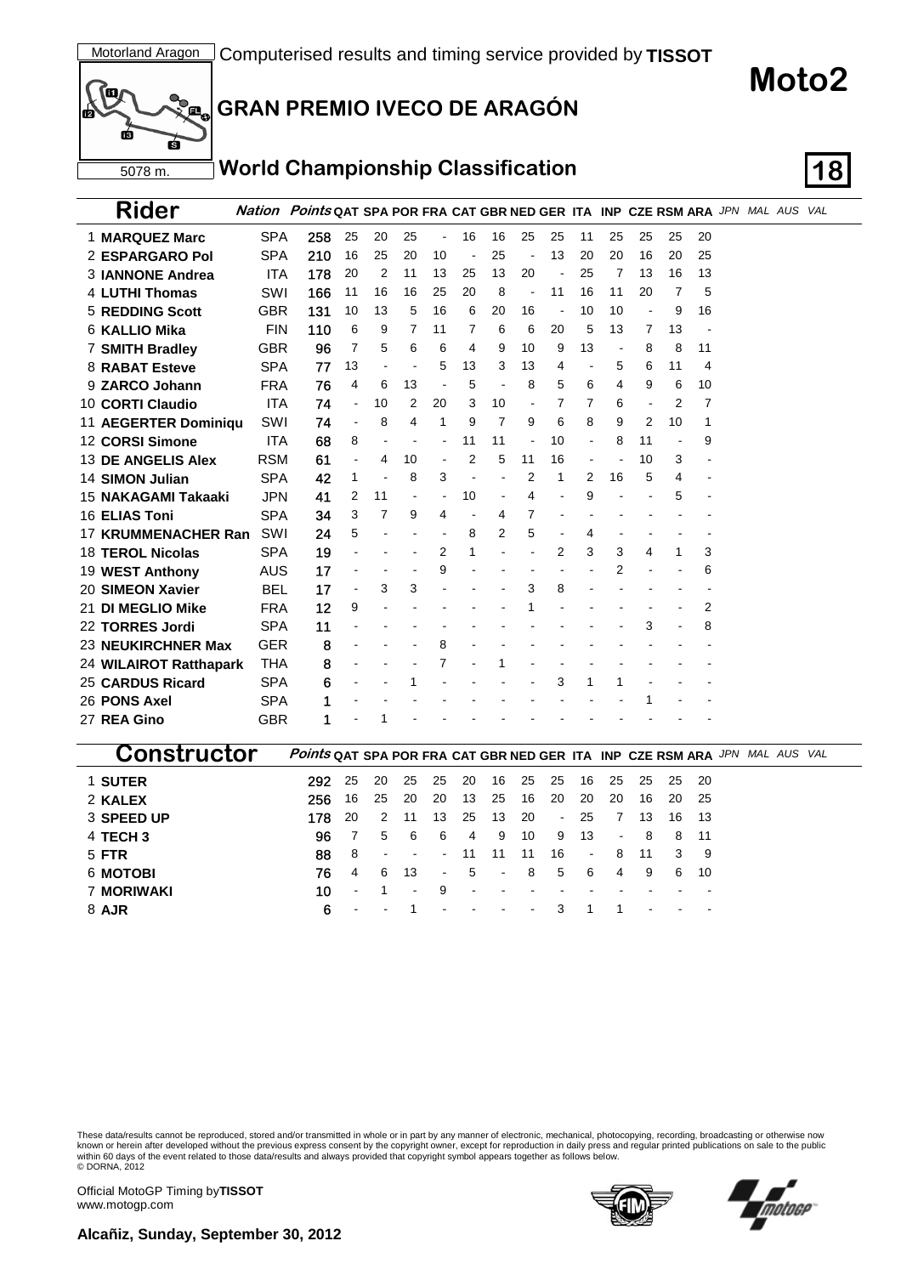

# **Moto2**

#### **World Championship Classification 18**

| Rider                      |            | Nation Points QAT SPA POR FRA CAT GBR NED GER ITA INP CZE RSM ARA JPN MAL AUS VAL |                |                |                |                |    |    |    |    |    |                |    |                |    |  |  |
|----------------------------|------------|-----------------------------------------------------------------------------------|----------------|----------------|----------------|----------------|----|----|----|----|----|----------------|----|----------------|----|--|--|
| 1 MARQUEZ Marc             | <b>SPA</b> | 258                                                                               | 25             | 20             | 25             | $\blacksquare$ | 16 | 16 | 25 | 25 | 11 | 25             | 25 | 25             | 20 |  |  |
| 2 ESPARGARO Pol            | <b>SPA</b> | 210                                                                               | 16             | 25             | 20             | 10             | ÷, | 25 |    | 13 | 20 | 20             | 16 | 20             | 25 |  |  |
| 3 IANNONE Andrea           | <b>ITA</b> | 178                                                                               | 20             | $\overline{2}$ | 11             | 13             | 25 | 13 | 20 |    | 25 | 7              | 13 | 16             | 13 |  |  |
| <b>4 LUTHI Thomas</b>      | SWI        | 166                                                                               | 11             | 16             | 16             | 25             | 20 | 8  |    | 11 | 16 | 11             | 20 | 7              | 5  |  |  |
| <b>5 REDDING Scott</b>     | <b>GBR</b> | 131                                                                               | 10             | 13             | 5              | 16             | 6  | 20 | 16 |    | 10 | 10             |    | 9              | 16 |  |  |
| 6 KALLIO Mika              | <b>FIN</b> | 110                                                                               | 6              | 9              | 7              | 11             | 7  | 6  | 6  | 20 | 5  | 13             | 7  | 13             |    |  |  |
| <b>7 SMITH Bradley</b>     | <b>GBR</b> | 96                                                                                | 7              | 5              | 6              | 6              | 4  | 9  | 10 | 9  | 13 | $\blacksquare$ | 8  | 8              | 11 |  |  |
| 8 RABAT Esteve             | <b>SPA</b> | 77                                                                                | 13             |                |                | 5              | 13 | 3  | 13 | 4  |    | 5              | 6  | 11             | 4  |  |  |
| 9 ZARCO Johann             | <b>FRA</b> | 76                                                                                | 4              | 6              | 13             |                | 5  |    | 8  | 5  | 6  | 4              | 9  | 6              | 10 |  |  |
| 10 CORTI Claudio           | <b>ITA</b> | 74                                                                                | $\blacksquare$ | 10             | 2              | 20             | 3  | 10 |    | 7  | 7  | 6              |    | 2              | 7  |  |  |
| 11 AEGERTER Dominiqu       | SWI        | 74                                                                                | $\blacksquare$ | 8              | 4              | 1              | 9  | 7  | 9  | 6  | 8  | 9              | 2  | 10             | 1  |  |  |
| 12 CORSI Simone            | <b>ITA</b> | 68                                                                                | 8              |                |                |                | 11 | 11 |    | 10 | L, | 8              | 11 | $\blacksquare$ | 9  |  |  |
| 13 DE ANGELIS Alex         | <b>RSM</b> | 61                                                                                |                | 4              | 10             |                | 2  | 5  | 11 | 16 |    |                | 10 | 3              |    |  |  |
| <b>14 SIMON Julian</b>     | <b>SPA</b> | 42                                                                                | 1              |                | 8              | 3              |    |    | 2  | 1  | 2  | 16             | 5  | 4              |    |  |  |
| 15 NAKAGAMI Takaaki        | <b>JPN</b> | 41                                                                                | 2              | 11             | $\overline{a}$ |                | 10 |    | 4  |    | 9  |                |    | 5              |    |  |  |
| 16 ELIAS Toni              | <b>SPA</b> | 34                                                                                | 3              | 7              | 9              | 4              |    | 4  | 7  |    |    |                |    |                |    |  |  |
| <b>17 KRUMMENACHER Ran</b> | SWI        | 24                                                                                | 5              |                |                |                | 8  | 2  | 5  |    | 4  |                |    |                |    |  |  |
| <b>18 TEROL Nicolas</b>    | <b>SPA</b> | 19                                                                                |                |                |                | $\overline{2}$ | 1  |    |    | 2  | 3  | 3              | 4  | 1              | 3  |  |  |
| 19 WEST Anthony            | <b>AUS</b> | 17                                                                                |                |                |                | 9              |    |    |    |    |    | $\overline{2}$ |    |                | 6  |  |  |
| 20 SIMEON Xavier           | <b>BEL</b> | 17                                                                                |                | 3              | 3              |                |    |    | 3  | 8  |    |                |    |                |    |  |  |
| 21 DI MEGLIO Mike          | <b>FRA</b> | 12                                                                                | 9              |                |                |                |    |    |    |    |    |                |    |                | 2  |  |  |
| 22 TORRES Jordi            | <b>SPA</b> | 11                                                                                |                |                |                |                |    |    |    |    |    |                | 3  |                | 8  |  |  |
| 23 NEUKIRCHNER Max         | <b>GER</b> | 8                                                                                 |                |                |                | 8              |    |    |    |    |    |                |    |                |    |  |  |
| 24 WILAIROT Ratthapark     | <b>THA</b> | 8                                                                                 |                |                |                | 7              |    |    |    |    |    |                |    |                |    |  |  |
| <b>25 CARDUS Ricard</b>    | <b>SPA</b> | 6                                                                                 |                |                |                |                |    |    |    | 3  | 1  |                |    |                |    |  |  |
| 26 PONS Axel               | <b>SPA</b> |                                                                                   |                |                |                |                |    |    |    |    |    |                |    |                |    |  |  |
| 27 REA Gino                | <b>GBR</b> | 1                                                                                 |                |                |                |                |    |    |    |    |    |                |    |                |    |  |  |
|                            |            |                                                                                   |                |                |                |                |    |    |    |    |    |                |    |                |    |  |  |

| :onstructor       | <b>Points QAT SPA POR FRA CAT GBR NED GER ITA INP CZE RSM ARA JPN MAL AUS VAL</b> |        |        |                  |        |      |        |        |       |        |                |      |   |       |  |  |
|-------------------|-----------------------------------------------------------------------------------|--------|--------|------------------|--------|------|--------|--------|-------|--------|----------------|------|---|-------|--|--|
| 1 SUTER           | 292                                                                               | -25    | -20    | -25              | - 25   |      | 20 16  |        | 25 25 | 16     | - 25           | -25  |   | 25 20 |  |  |
| 2 KALEX           | 256                                                                               | 16     | 25     | -20              | -20    | 13   | -25    | 16     | -20   | 20     | 20             | 16   |   | 20 25 |  |  |
| 3 SPEED UP        | 178                                                                               | - 20   | 2      | -11              | 13     | 25   | - 13   | -20    |       | - 25   | $\overline{7}$ | 13   |   | 16 13 |  |  |
| 4 TECH 3          | 96                                                                                |        | 5      | - 6              | 6      | 4    | 9      | 10     | 9     | - 13   |                | $-8$ |   | 8 11  |  |  |
| 5 FTR             | 88                                                                                | -8     | $\sim$ | $\sim 100$       | $\sim$ | -11  | - 11   | 11     | 16    | $\sim$ | 8              | -11  | 3 | - 9   |  |  |
| 6 MOTOBI          | 76                                                                                | 4      | -6     | -13              |        | $-5$ | $\sim$ | 8      | 5     | -6     | 4              | -9   | 6 | -10   |  |  |
| <b>7 MORIWAKI</b> | 10                                                                                | $\sim$ |        | $\sim$ 100 $\pm$ | 9      |      |        |        |       |        |                |      |   |       |  |  |
| 8 AJR             | 6                                                                                 |        |        |                  |        |      |        | $\sim$ |       |        |                |      |   |       |  |  |

These data/results cannot be reproduced, stored and/or transmitted in whole or in part by any manner of electronic, mechanical, photocopying, recording, broadcasting or otherwise now<br>known or herein after developed without © DORNA, 2012

Official MotoGP Timing by **TISSOT**www.motogp.com



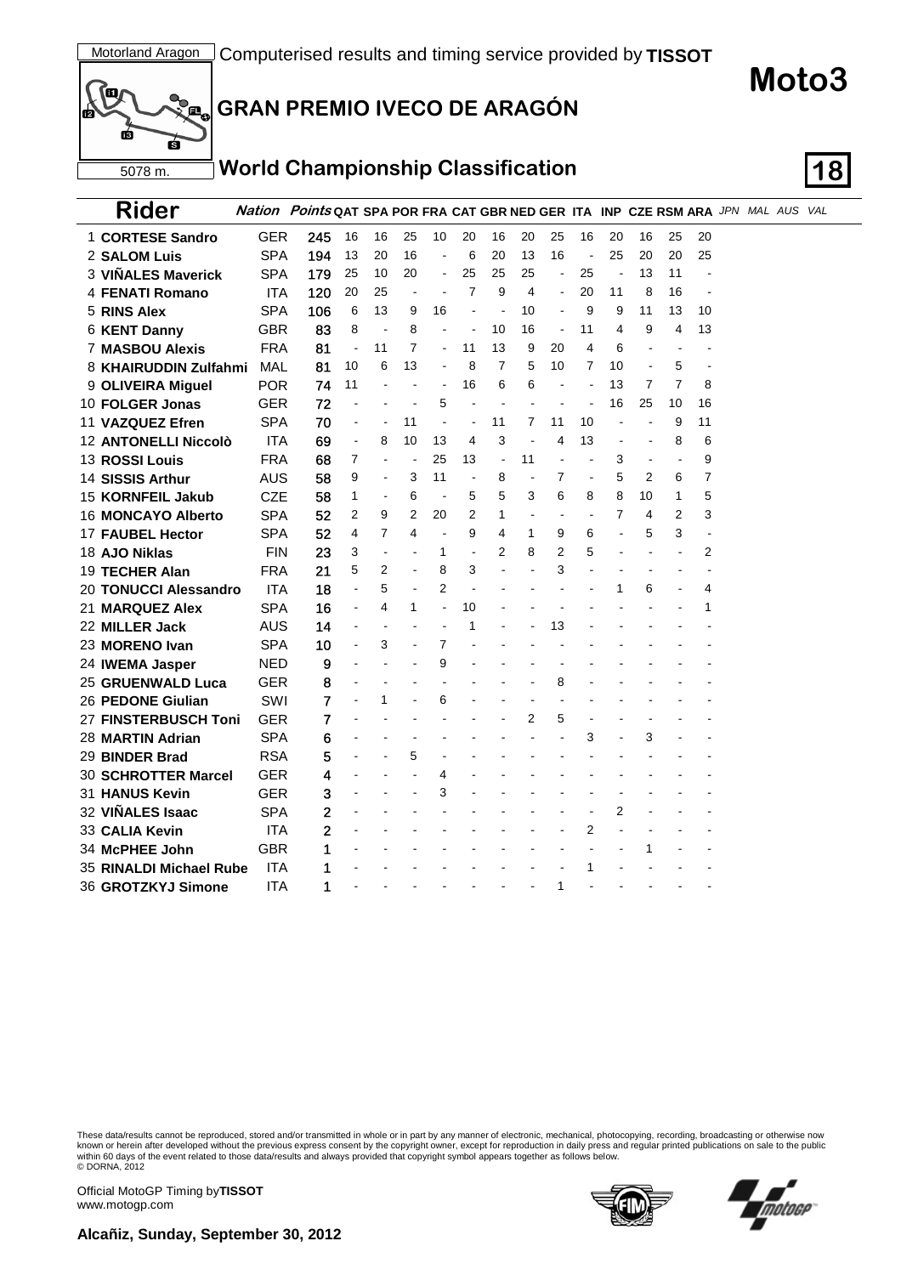

#### **World Championship Classification 18**

| Rider                                        |            | Nation Points QAT SPA POR FRA CAT GBR NED GER ITA INP CZE RSM ARA JPN MAL AUS VAL |                |                          |                          |                |                |                |    |                          |                |                          |                |                |                |  |  |
|----------------------------------------------|------------|-----------------------------------------------------------------------------------|----------------|--------------------------|--------------------------|----------------|----------------|----------------|----|--------------------------|----------------|--------------------------|----------------|----------------|----------------|--|--|
| 1 CORTESE Sandro                             | GER        | 245                                                                               | 16             | 16                       | 25                       | 10             | 20             | 16             | 20 | 25                       | 16             | 20                       | 16             | 25             | 20             |  |  |
| 2 SALOM Luis                                 | <b>SPA</b> | 194                                                                               | 13             | 20                       | 16                       | ÷,             | 6              | 20             | 13 | 16                       | $\blacksquare$ | 25                       | 20             | 20             | 25             |  |  |
| 3 VIÑALES Maverick                           | <b>SPA</b> | 179                                                                               | 25             | 10                       | 20                       | $\blacksquare$ | 25             | 25             | 25 | $\blacksquare$           | 25             | ÷,                       | 13             | 11             |                |  |  |
| 4 FENATI Romano                              | <b>ITA</b> | 120                                                                               | 20             | 25                       | $\blacksquare$           |                | $\overline{7}$ | 9              | 4  | $\blacksquare$           | 20             | 11                       | 8              | 16             |                |  |  |
| 5 RINS Alex                                  | <b>SPA</b> | 106                                                                               | 6              | 13                       | 9                        | 16             |                | $\blacksquare$ | 10 | $\ddot{\phantom{a}}$     | 9              | 9                        | 11             | 13             | 10             |  |  |
| 6 KENT Danny                                 | <b>GBR</b> | 83                                                                                | 8              | $\blacksquare$           | 8                        | L,             | $\blacksquare$ | 10             | 16 | $\blacksquare$           | 11             | 4                        | 9              | 4              | 13             |  |  |
| <b>7 MASBOU Alexis</b>                       | <b>FRA</b> | 81                                                                                | $\blacksquare$ | 11                       | 7                        | $\overline{a}$ | 11             | 13             | 9  | 20                       | 4              | 6                        |                | ä,             |                |  |  |
| 8 KHAIRUDDIN Zulfahmi                        | <b>MAL</b> | 81                                                                                | 10             | 6                        | 13                       | L,             | 8              | 7              | 5  | 10                       | 7              | 10                       | $\blacksquare$ | 5              | $\blacksquare$ |  |  |
| 9 OLIVEIRA Miguel                            | <b>POR</b> | 74                                                                                | 11             |                          | $\blacksquare$           | $\blacksquare$ | 16             | 6              | 6  | $\blacksquare$           | ÷.             | 13                       | 7              | $\overline{7}$ | 8              |  |  |
| 10 FOLGER Jonas                              | <b>GER</b> | 72                                                                                |                |                          |                          | 5              |                |                |    |                          | $\blacksquare$ | 16                       | 25             | 10             | 16             |  |  |
| 11 VAZQUEZ Efren                             | <b>SPA</b> | 70                                                                                | ä,             | $\overline{\phantom{a}}$ | 11                       | $\overline{a}$ | $\overline{a}$ | 11             | 7  | 11                       | 10             |                          |                | 9              | 11             |  |  |
| 12 ANTONELLI Niccolò                         | <b>ITA</b> | 69                                                                                | ä,             | 8                        | 10                       | 13             | 4              | 3              | L, | 4                        | 13             | $\overline{\phantom{a}}$ |                | 8              | 6              |  |  |
| <b>13 ROSSI Louis</b>                        | <b>FRA</b> | 68                                                                                | 7              | $\overline{a}$           | $\overline{\phantom{a}}$ | 25             | 13             | $\blacksquare$ | 11 | $\overline{a}$           |                | 3                        | $\blacksquare$ | $\blacksquare$ | 9              |  |  |
| 14 SISSIS Arthur                             | AUS        | 58                                                                                | 9              | $\overline{a}$           | 3                        | 11             | $\overline{a}$ | 8              |    | 7                        | L,             | 5                        | 2              | 6              | 7              |  |  |
| 15 KORNFEIL Jakub                            | <b>CZE</b> | 58                                                                                | 1              | $\overline{\phantom{a}}$ | 6                        | $\blacksquare$ | 5              | 5              | 3  | 6                        | 8              | 8                        | 10             | 1              | 5              |  |  |
| 16 MONCAYO Alberto                           | <b>SPA</b> | 52                                                                                | 2              | 9                        | 2                        | 20             | 2              | 1              |    | $\overline{\phantom{a}}$ |                | 7                        | 4              | 2              | 3              |  |  |
| 17 FAUBEL Hector                             | <b>SPA</b> | 52                                                                                | 4              | 7                        | 4                        | $\overline{a}$ | 9              | 4              | 1  | 9                        | 6              |                          | 5              | 3              |                |  |  |
| 18 AJO Niklas                                | <b>FIN</b> | 23                                                                                | 3              | $\overline{a}$           |                          | 1              | $\blacksquare$ | 2              | 8  | 2                        | 5              |                          |                |                | 2              |  |  |
| 19 TECHER Alan                               | <b>FRA</b> | 21                                                                                | 5              | 2                        | ä,                       | 8              | 3              |                |    | 3                        |                |                          |                |                |                |  |  |
| 20 TONUCCI Alessandro                        | ITA        | 18                                                                                |                | 5                        |                          | $\overline{2}$ |                |                |    |                          |                | 1                        | 6              |                | 4              |  |  |
| 21 MARQUEZ Alex                              | <b>SPA</b> | 16                                                                                | ۰              | 4                        | 1                        | $\blacksquare$ | 10             |                |    |                          |                |                          |                |                | 1              |  |  |
| 22 MILLER Jack                               | <b>AUS</b> | 14                                                                                |                | ٠                        |                          |                | 1              |                |    | 13                       |                |                          |                |                |                |  |  |
| 23 MORENO Ivan                               | <b>SPA</b> | 10                                                                                |                | 3                        |                          | 7              |                |                |    |                          |                |                          |                |                |                |  |  |
| 24 IWEMA Jasper                              | <b>NED</b> | 9                                                                                 |                |                          |                          | 9              |                |                |    |                          |                |                          |                |                |                |  |  |
| 25 GRUENWALD Luca                            | <b>GER</b> | 8                                                                                 |                |                          |                          |                |                |                |    | 8                        |                |                          |                |                |                |  |  |
| 26 PEDONE Giulian                            | SWI        | 7                                                                                 |                | 1                        |                          | 6              |                |                |    |                          |                |                          |                |                |                |  |  |
| 27 FINSTERBUSCH Toni                         | GER        | 7                                                                                 |                |                          |                          |                |                |                | 2  | 5                        |                |                          |                |                |                |  |  |
| 28 MARTIN Adrian                             | <b>SPA</b> | 6                                                                                 |                |                          |                          |                |                |                |    |                          | 3              |                          | 3              |                |                |  |  |
| 29 BINDER Brad                               | <b>RSA</b> | 5                                                                                 |                |                          | 5                        |                |                |                |    |                          |                |                          |                |                |                |  |  |
| <b>30 SCHROTTER Marcel</b><br>31 HANUS Kevin | GER<br>GER | 4                                                                                 |                |                          |                          | 4<br>3         |                |                |    |                          |                |                          |                |                |                |  |  |
| 32 VIÑALES Isaac                             | SPA        | 3<br>2                                                                            |                |                          |                          |                |                |                |    |                          |                | 2                        |                |                |                |  |  |
|                                              | <b>ITA</b> | 2                                                                                 |                |                          |                          |                |                |                |    |                          | 2              |                          |                |                |                |  |  |
| 33 CALIA Kevin<br>34 McPHEE John             | GBR        | 1                                                                                 |                |                          |                          |                |                |                |    |                          |                |                          | 1              |                |                |  |  |
| 35 RINALDI Michael Rube                      | <b>ITA</b> | 1                                                                                 |                |                          |                          |                |                |                |    |                          | 1              |                          |                |                |                |  |  |
| 36 GROTZKYJ Simone                           | <b>ITA</b> | 1                                                                                 |                |                          |                          |                |                |                |    | 1                        |                |                          |                |                |                |  |  |
|                                              |            |                                                                                   |                |                          |                          |                |                |                |    |                          |                |                          |                |                |                |  |  |

These data/results cannot be reproduced, stored and/or transmitted in whole or in part by any manner of electronic, mechanical, photocopying, recording, broadcasting or otherwise now<br>known or herein after developed without © DORNA, 2012

Official MotoGP Timing by **TISSOT**www.motogp.com





**Moto3**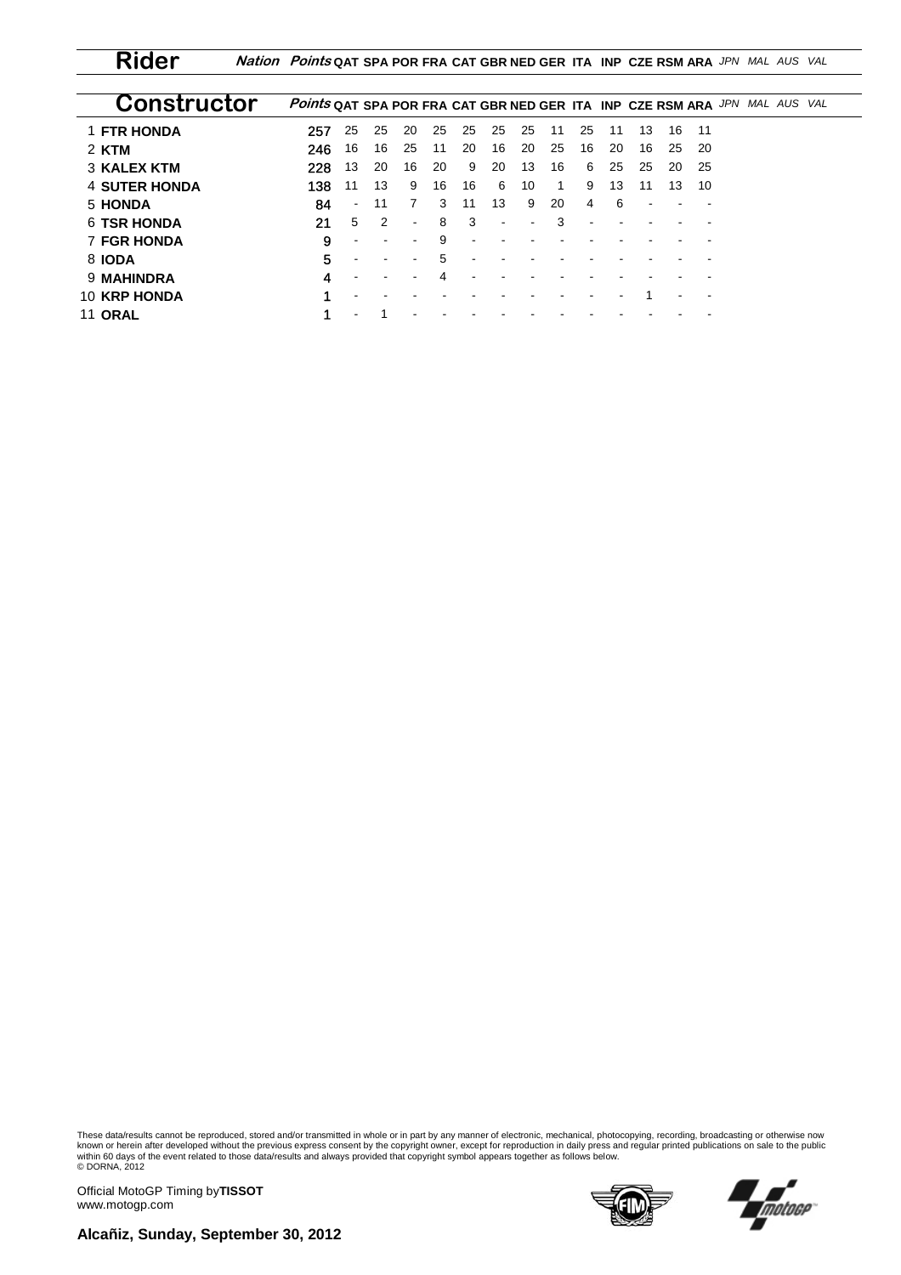**Rider Nation Points QAT SPA POR FRA CAT GBR NED GER ITA INP CZE RSM ARA** *JPN MAL AUS VAL*

| Constructor          | <b>Points QAT SPA POR FRA CAT GBR NED GER ITA INP CZE RSM ARA JPN MAL AUS VAL</b> |                |    |        |    |                |                |    |    |    |    |    |    |     |  |  |
|----------------------|-----------------------------------------------------------------------------------|----------------|----|--------|----|----------------|----------------|----|----|----|----|----|----|-----|--|--|
| 1 FTR HONDA          | 257                                                                               | 25             | 25 | 20     | 25 | 25             | 25             | 25 | 11 | 25 | 11 | 13 | 16 | -11 |  |  |
| 2 KTM                | 246                                                                               | 16             | 16 | 25     | 11 | 20             | 16             | 20 | 25 | 16 | 20 | 16 | 25 | -20 |  |  |
| 3 KALEX KTM          | 228                                                                               | 13             | 20 | 16     | 20 | 9              | 20             | 13 | 16 | 6  | 25 | 25 | 20 | 25  |  |  |
| <b>4 SUTER HONDA</b> | 138                                                                               | 11             | 13 | 9      | 16 | 16             | 6              | 10 | 1  | 9  | 13 | 11 | 13 | 10  |  |  |
| 5 HONDA              | 84                                                                                | $\blacksquare$ | 11 | 7      | 3  | 11             | 13             | 9  | 20 | 4  | 6  |    |    |     |  |  |
| <b>6 TSR HONDA</b>   | 21                                                                                | 5              | 2  | $\sim$ | 8  | -3             | $\blacksquare$ |    | 3  |    |    |    |    |     |  |  |
| <b>7 FGR HONDA</b>   | 9                                                                                 |                |    |        | 9  | $\blacksquare$ |                |    |    |    |    |    |    |     |  |  |
| 8 IODA               | 5                                                                                 |                |    |        | 5  |                |                |    |    |    |    |    |    |     |  |  |
| 9 MAHINDRA           | 4                                                                                 |                |    |        | 4  |                |                |    |    |    |    |    |    |     |  |  |
| <b>10 KRP HONDA</b>  |                                                                                   |                |    |        |    |                |                |    |    |    |    |    |    |     |  |  |
| <b>11 ORAL</b>       |                                                                                   |                |    |        |    |                |                |    |    |    |    |    |    |     |  |  |

These data/results cannot be reproduced, stored and/or transmitted in whole or in part by any manner of electronic, mechanical, photocopying, recording, broadcasting or otherwise now<br>known or herein after developed without © DORNA, 2012

Official MotoGP Timing by **TISSOT**www.motogp.com





**Alcañiz, Sunday, September 30, 2012**